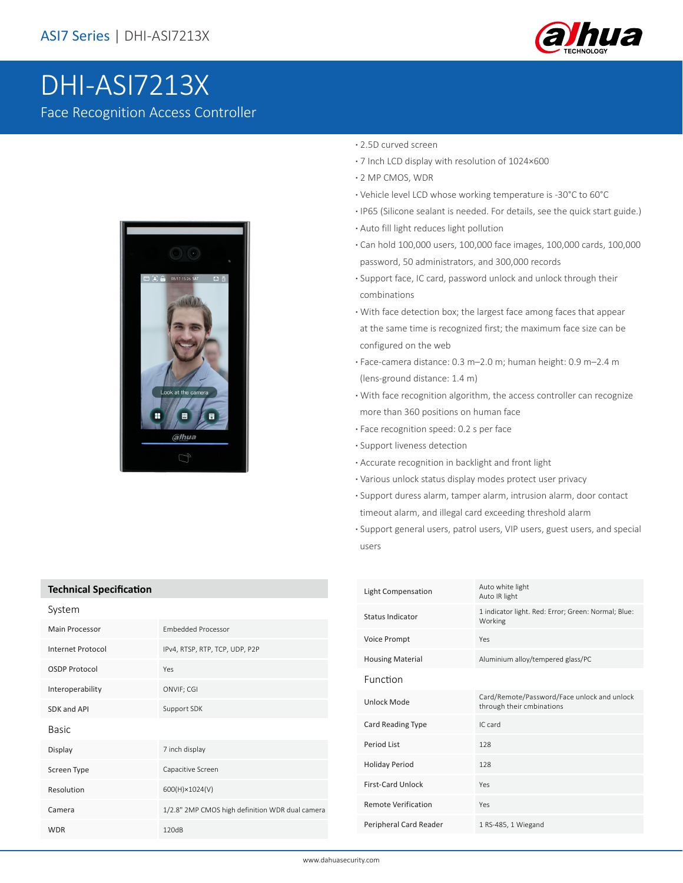

# DHI-ASI7213X Face Recognition Access Controller



#### **·** 2.5D curved screen

- **·** 7 Inch LCD display with resolution of 1024×600
- **·** 2 MP CMOS, WDR
- **·** Vehicle level LCD whose working temperature is -30°C to 60°C
- **·** IP65 (Silicone sealant is needed. For details, see the quick start guide.)
- **·** Auto fill light reduces light pollution
- **·** Can hold 100,000 users, 100,000 face images, 100,000 cards, 100,000 password, 50 administrators, and 300,000 records
- **·** Support face, IC card, password unlock and unlock through their combinations
- **·** With face detection box; the largest face among faces that appear at the same time is recognized first; the maximum face size can be configured on the web
- **·** Face-camera distance: 0.3 m–2.0 m; human height: 0.9 m–2.4 m (lens-ground distance: 1.4 m)
- **·** With face recognition algorithm, the access controller can recognize more than 360 positions on human face
- **·** Face recognition speed: 0.2 s per face
- **·** Support liveness detection
- **·** Accurate recognition in backlight and front light
- **·** Various unlock status display modes protect user privacy
- **·** Support duress alarm, tamper alarm, intrusion alarm, door contact
- timeout alarm, and illegal card exceeding threshold alarm
- **·** Support general users, patrol users, VIP users, guest users, and special users

| <b>Technical Specification</b> |                                                 |  |
|--------------------------------|-------------------------------------------------|--|
| System                         |                                                 |  |
| <b>Main Processor</b>          | <b>Embedded Processor</b>                       |  |
| Internet Protocol              | IPv4, RTSP, RTP, TCP, UDP, P2P                  |  |
| <b>OSDP Protocol</b>           | Yes                                             |  |
| Interoperability               | ONVIF; CGI                                      |  |
| SDK and API                    | Support SDK                                     |  |
| Basic                          |                                                 |  |
| Display                        | 7 inch display                                  |  |
| Screen Type                    | Capacitive Screen                               |  |
| Resolution                     | 600(H)×1024(V)                                  |  |
| Camera                         | 1/2.8" 2MP CMOS high definition WDR dual camera |  |
| <b>WDR</b>                     | 120dB                                           |  |

| Light Compensation         | Auto white light<br>Auto IR light                                        |
|----------------------------|--------------------------------------------------------------------------|
| Status Indicator           | 1 indicator light. Red: Error; Green: Normal; Blue:<br>Working           |
| <b>Voice Prompt</b>        | Yes                                                                      |
| <b>Housing Material</b>    | Aluminium alloy/tempered glass/PC                                        |
| Function                   |                                                                          |
| Unlock Mode                | Card/Remote/Password/Face unlock and unlock<br>through their cmbinations |
| Card Reading Type          | IC card                                                                  |
| Period List                | 128                                                                      |
| <b>Holiday Period</b>      | 128                                                                      |
| <b>First-Card Unlock</b>   | Yes                                                                      |
| <b>Remote Verification</b> | Yes                                                                      |
| Peripheral Card Reader     | 1 RS-485, 1 Wiegand                                                      |

#### www.dahuasecurity.com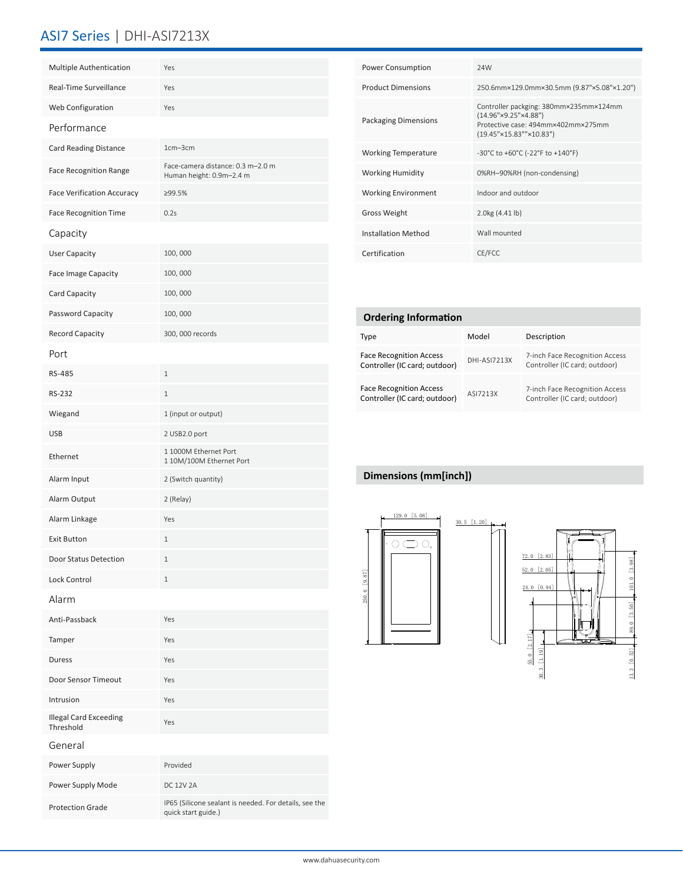### ASI7 Series | DHI-ASI7213X

| Multiple Authentication                    | Yes                                                           |
|--------------------------------------------|---------------------------------------------------------------|
| Real-Time Surveillance                     | Yes                                                           |
| Web Configuration                          | Yes                                                           |
| Performance                                |                                                               |
| <b>Card Reading Distance</b>               | $1cm - 3cm$                                                   |
| <b>Face Recognition Range</b>              | Face-camera distance: 0.3 m-2.0 m<br>Human height: 0.9m-2.4 m |
| <b>Face Verification Accuracy</b>          | ≥99.5%                                                        |
| <b>Face Recognition Time</b>               | 0.2s                                                          |
| Capacity                                   |                                                               |
| <b>User Capacity</b>                       | 100,000                                                       |
| <b>Face Image Capacity</b>                 | 100,000                                                       |
| Card Capacity                              | 100,000                                                       |
| Password Capacity                          | 100,000                                                       |
| Record Capacity                            | 300, 000 records                                              |
| Port                                       |                                                               |
| RS-485                                     | $\mathbf{1}$                                                  |
| <b>RS-232</b>                              | $1\,$                                                         |
| Wiegand                                    | 1 (input or output)                                           |
| <b>USB</b>                                 | 2 USB2.0 port                                                 |
| Ethernet                                   | 1 1000M Ethernet Port<br>1 10M/100M Ethernet Port             |
| Alarm Input                                | 2 (Switch quantity)                                           |
| Alarm Output                               | 2 (Relay)                                                     |
| Alarm Linkage                              | Yes                                                           |
| <b>Exit Button</b>                         | $1\,$                                                         |
| Door Status Detection                      | ı                                                             |
| <b>Lock Control</b>                        | 1                                                             |
| Alarm                                      |                                                               |
| Anti-Passback                              | Yes                                                           |
| Tamper                                     | Yes                                                           |
| Duress                                     | Yes                                                           |
| Door Sensor Timeout                        | Yes                                                           |
| Intrusion                                  | Yes                                                           |
| <b>Illegal Card Exceeding</b><br>Threshold | Yes                                                           |
| General                                    |                                                               |
| Power Supply                               | Provided                                                      |
| Power Supply Mode                          | DC 12V 2A                                                     |
| <b>Protection Grade</b>                    | IP65 (Silicone sealant is needed. For details, see the        |

quick start guide.)

| <b>Power Consumption</b>   | 24W                                                                                                                                             |
|----------------------------|-------------------------------------------------------------------------------------------------------------------------------------------------|
| <b>Product Dimensions</b>  | 250.6mm×129.0mm×30.5mm (9.87"×5.08"×1.20")                                                                                                      |
| Packaging Dimensions       | Controller packging: 380mm×235mm×124mm<br>$(14.96" \times 9.25" \times 4.88")$<br>Protective case: 494mm×402mm×275mm<br>(19.45"×15.83""×10.83") |
| <b>Working Temperature</b> | -30°C to +60°C (-22°F to +140°F)                                                                                                                |
| <b>Working Humidity</b>    | 0%RH-90%RH (non-condensing)                                                                                                                     |
| <b>Working Environment</b> | Indoor and outdoor                                                                                                                              |
| <b>Gross Weight</b>        | 2.0kg (4.41 lb)                                                                                                                                 |
| <b>Installation Method</b> | Wall mounted                                                                                                                                    |
| Certification              | CE/FCC                                                                                                                                          |

| <b>Ordering Information</b>                                     |                     |                                                                 |  |  |  |
|-----------------------------------------------------------------|---------------------|-----------------------------------------------------------------|--|--|--|
| Type                                                            | Model               | Description                                                     |  |  |  |
| <b>Face Recognition Access</b><br>Controller (IC card; outdoor) | <b>DHI-ASI7213X</b> | 7-inch Face Recognition Access<br>Controller (IC card; outdoor) |  |  |  |
| <b>Face Recognition Access</b><br>Controller (IC card; outdoor) | ASI7213X            | 7-inch Face Recognition Access<br>Controller (IC card; outdoor) |  |  |  |

### **Dimensions (mm[inch])**